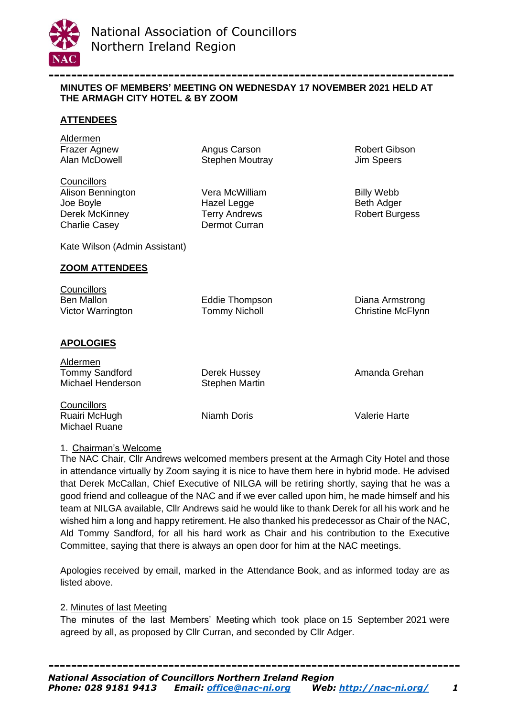

**----------------------------------------------------------------------- MINUTES OF MEMBERS' MEETING ON WEDNESDAY 17 NOVEMBER 2021 HELD AT THE ARMAGH CITY HOTEL & BY ZOOM**

### **ATTENDEES**

Aldermen

Frazer Agnew **Angus Carson Robert Gibson** Robert Gibson Alan McDowell Stephen Moutray Jim Speers

**Councillors** Alison Bennington **Vera McWilliam** Billy Webb Joe Boyle **Hazel Legge** Beth Adger Beth Adger Derek McKinney Terry Andrews Robert Burgess Charlie Casey **Dermot Curran** 

Kate Wilson (Admin Assistant)

#### **ZOOM ATTENDEES**

| Councillors       |                      |                          |
|-------------------|----------------------|--------------------------|
| Ben Mallon        | Eddie Thompson       | Diana Armstrong          |
| Victor Warrington | <b>Tommy Nicholl</b> | <b>Christine McFlynn</b> |
|                   |                      |                          |

#### **APOLOGIES**

Michael Ruane

| Aldermen              |                |               |
|-----------------------|----------------|---------------|
| <b>Tommy Sandford</b> | Derek Hussey   | Amanda Grehan |
| Michael Henderson     | Stephen Martin |               |
| <b>Councillors</b>    |                |               |
| Ruairi McHugh         | Niamh Doris    | Valerie Harte |

### 1. Chairman's Welcome

The NAC Chair, Cllr Andrews welcomed members present at the Armagh City Hotel and those in attendance virtually by Zoom saying it is nice to have them here in hybrid mode. He advised that Derek McCallan, Chief Executive of NILGA will be retiring shortly, saying that he was a good friend and colleague of the NAC and if we ever called upon him, he made himself and his team at NILGA available, Cllr Andrews said he would like to thank Derek for all his work and he wished him a long and happy retirement. He also thanked his predecessor as Chair of the NAC, Ald Tommy Sandford, for all his hard work as Chair and his contribution to the Executive Committee, saying that there is always an open door for him at the NAC meetings.

Apologies received by email, marked in the Attendance Book, and as informed today are as listed above.

### 2. Minutes of last Meeting

The minutes of the last Members' Meeting which took place on 15 September 2021 were agreed by all, as proposed by Cllr Curran, and seconded by Cllr Adger.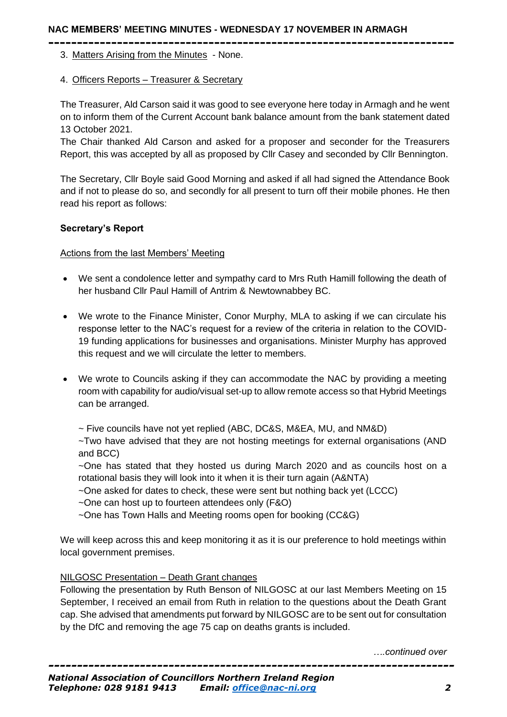### **NAC MEMBERS' MEETING MINUTES - WEDNESDAY 17 NOVEMBER IN ARMAGH**

- **-----------------------------------------------------------------------** 3. Matters Arising from the Minutes - None.
	- 4. Officers Reports Treasurer & Secretary

The Treasurer, Ald Carson said it was good to see everyone here today in Armagh and he went on to inform them of the Current Account bank balance amount from the bank statement dated 13 October 2021.

The Chair thanked Ald Carson and asked for a proposer and seconder for the Treasurers Report, this was accepted by all as proposed by Cllr Casey and seconded by Cllr Bennington.

The Secretary, Cllr Boyle said Good Morning and asked if all had signed the Attendance Book and if not to please do so, and secondly for all present to turn off their mobile phones. He then read his report as follows:

### **Secretary's Report**

### Actions from the last Members' Meeting

- We sent a condolence letter and sympathy card to Mrs Ruth Hamill following the death of her husband Cllr Paul Hamill of Antrim & Newtownabbey BC.
- We wrote to the Finance Minister, Conor Murphy, MLA to asking if we can circulate his response letter to the NAC's request for a review of the criteria in relation to the COVID-19 funding applications for businesses and organisations. Minister Murphy has approved this request and we will circulate the letter to members.
- We wrote to Councils asking if they can accommodate the NAC by providing a meeting room with capability for audio/visual set-up to allow remote access so that Hybrid Meetings can be arranged.

~ Five councils have not yet replied (ABC, DC&S, M&EA, MU, and NM&D)

~Two have advised that they are not hosting meetings for external organisations (AND and BCC)

~One has stated that they hosted us during March 2020 and as councils host on a rotational basis they will look into it when it is their turn again (A&NTA)

- ~One asked for dates to check, these were sent but nothing back yet (LCCC)
- ~One can host up to fourteen attendees only (F&O)
- ~One has Town Halls and Meeting rooms open for booking (CC&G)

We will keep across this and keep monitoring it as it is our preference to hold meetings within local government premises.

### NILGOSC Presentation – Death Grant changes

Following the presentation by Ruth Benson of NILGOSC at our last Members Meeting on 15 September, I received an email from Ruth in relation to the questions about the Death Grant cap. She advised that amendments put forward by NILGOSC are to be sent out for consultation by the DfC and removing the age 75 cap on deaths grants is included.

*….continued over*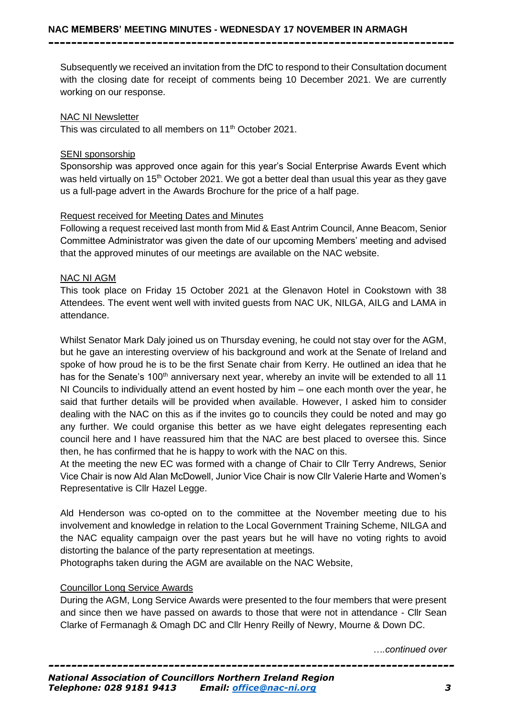**-----------------------------------------------------------------------**

Subsequently we received an invitation from the DfC to respond to their Consultation document with the closing date for receipt of comments being 10 December 2021. We are currently working on our response.

### NAC NI Newsletter

This was circulated to all members on 11<sup>th</sup> October 2021.

### SENI sponsorship

Sponsorship was approved once again for this year's Social Enterprise Awards Event which was held virtually on 15<sup>th</sup> October 2021. We got a better deal than usual this year as they gave us a full-page advert in the Awards Brochure for the price of a half page.

## Request received for Meeting Dates and Minutes

Following a request received last month from Mid & East Antrim Council, Anne Beacom, Senior Committee Administrator was given the date of our upcoming Members' meeting and advised that the approved minutes of our meetings are available on the NAC website.

## NAC NI AGM

This took place on Friday 15 October 2021 at the Glenavon Hotel in Cookstown with 38 Attendees. The event went well with invited guests from NAC UK, NILGA, AILG and LAMA in attendance.

Whilst Senator Mark Daly joined us on Thursday evening, he could not stay over for the AGM, but he gave an interesting overview of his background and work at the Senate of Ireland and spoke of how proud he is to be the first Senate chair from Kerry. He outlined an idea that he has for the Senate's 100<sup>th</sup> anniversary next year, whereby an invite will be extended to all 11 NI Councils to individually attend an event hosted by him – one each month over the year, he said that further details will be provided when available. However, I asked him to consider dealing with the NAC on this as if the invites go to councils they could be noted and may go any further. We could organise this better as we have eight delegates representing each council here and I have reassured him that the NAC are best placed to oversee this. Since then, he has confirmed that he is happy to work with the NAC on this.

At the meeting the new EC was formed with a change of Chair to Cllr Terry Andrews, Senior Vice Chair is now Ald Alan McDowell, Junior Vice Chair is now Cllr Valerie Harte and Women's Representative is Cllr Hazel Legge.

Ald Henderson was co-opted on to the committee at the November meeting due to his involvement and knowledge in relation to the Local Government Training Scheme, NILGA and the NAC equality campaign over the past years but he will have no voting rights to avoid distorting the balance of the party representation at meetings.

Photographs taken during the AGM are available on the NAC Website,

# Councillor Long Service Awards

During the AGM, Long Service Awards were presented to the four members that were present and since then we have passed on awards to those that were not in attendance - Cllr Sean Clarke of Fermanagh & Omagh DC and Cllr Henry Reilly of Newry, Mourne & Down DC.

*….continued over*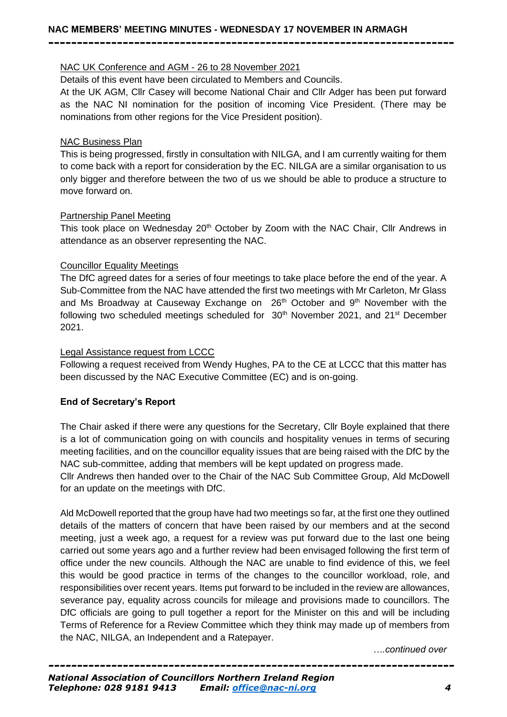## NAC UK Conference and AGM - 26 to 28 November 2021

Details of this event have been circulated to Members and Councils.

At the UK AGM, Cllr Casey will become National Chair and Cllr Adger has been put forward as the NAC NI nomination for the position of incoming Vice President. (There may be nominations from other regions for the Vice President position).

**-----------------------------------------------------------------------**

### NAC Business Plan

This is being progressed, firstly in consultation with NILGA, and I am currently waiting for them to come back with a report for consideration by the EC. NILGA are a similar organisation to us only bigger and therefore between the two of us we should be able to produce a structure to move forward on.

## Partnership Panel Meeting

This took place on Wednesday 20<sup>th</sup> October by Zoom with the NAC Chair, Cllr Andrews in attendance as an observer representing the NAC.

## Councillor Equality Meetings

The DfC agreed dates for a series of four meetings to take place before the end of the year. A Sub-Committee from the NAC have attended the first two meetings with Mr Carleton, Mr Glass and Ms Broadway at Causeway Exchange on  $26<sup>th</sup>$  October and  $9<sup>th</sup>$  November with the following two scheduled meetings scheduled for  $30<sup>th</sup>$  November 2021, and 21<sup>st</sup> December 2021.

## Legal Assistance request from LCCC

Following a request received from Wendy Hughes, PA to the CE at LCCC that this matter has been discussed by the NAC Executive Committee (EC) and is on-going.

# **End of Secretary's Report**

The Chair asked if there were any questions for the Secretary, Cllr Boyle explained that there is a lot of communication going on with councils and hospitality venues in terms of securing meeting facilities, and on the councillor equality issues that are being raised with the DfC by the NAC sub-committee, adding that members will be kept updated on progress made.

Cllr Andrews then handed over to the Chair of the NAC Sub Committee Group, Ald McDowell for an update on the meetings with DfC.

Ald McDowell reported that the group have had two meetings so far, at the first one they outlined details of the matters of concern that have been raised by our members and at the second meeting, just a week ago, a request for a review was put forward due to the last one being carried out some years ago and a further review had been envisaged following the first term of office under the new councils. Although the NAC are unable to find evidence of this, we feel this would be good practice in terms of the changes to the councillor workload, role, and responsibilities over recent years. Items put forward to be included in the review are allowances, severance pay, equality across councils for mileage and provisions made to councillors. The DfC officials are going to pull together a report for the Minister on this and will be including Terms of Reference for a Review Committee which they think may made up of members from the NAC, NILGA, an Independent and a Ratepayer.

*….continued over*